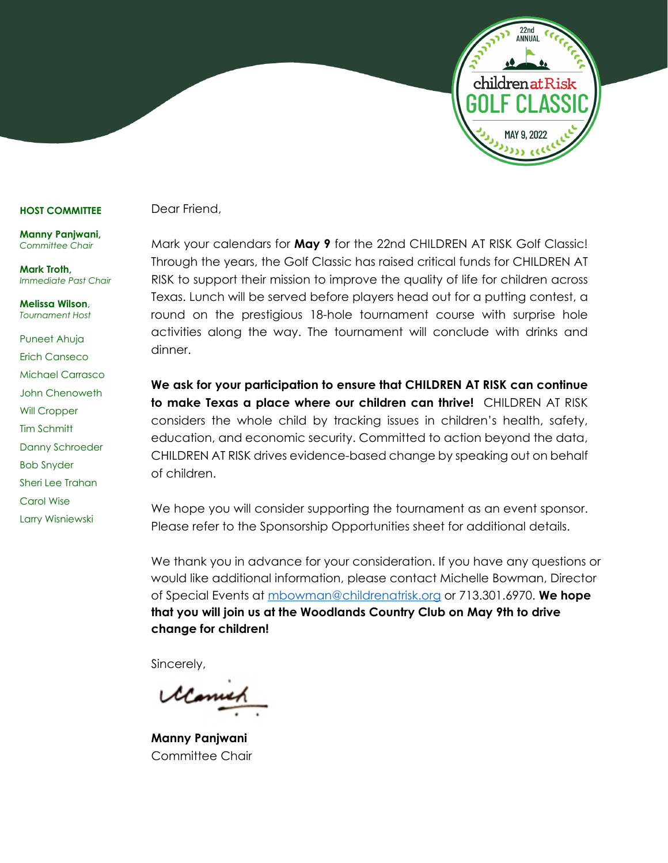

#### **HOST COMMITTEE**

**Manny Panjwani,** *Committee Chair*

**Mark Troth,** *Immediate Past Chair*

**Melissa Wilson**, *Tournament Host*

Puneet Ahuja Erich Canseco Michael Carrasco John Chenoweth Will Cropper Tim Schmitt Danny Schroeder Bob Snyder Sheri Lee Trahan Carol Wise Larry Wisniewski

Dear Friend,

Mark your calendars for **May 9** for the 22nd CHILDREN AT RISK Golf Classic! Through the years, the Golf Classic has raised critical funds for CHILDREN AT RISK to support their mission to improve the quality of life for children across Texas. Lunch will be served before players head out for a putting contest, a round on the prestigious 18-hole tournament course with surprise hole activities along the way. The tournament will conclude with drinks and dinner.

**We ask for your participation to ensure that CHILDREN AT RISK can continue to make Texas a place where our children can thrive!** CHILDREN AT RISK considers the whole child by tracking issues in children's health, safety, education, and economic security. Committed to action beyond the data, CHILDREN AT RISK drives evidence-based change by speaking out on behalf of children.

We hope you will consider supporting the tournament as an event sponsor. Please refer to the Sponsorship Opportunities sheet for additional details.

We thank you in advance for your consideration. If you have any questions or would like additional information, please contact Michelle Bowman, Director of Special Events at [mbowman@childrenatrisk.org](mailto:mbowman@childrenatrisk.org) or 713.301.6970. **We hope that you will join us at the Woodlands Country Club on May 9th to drive change for children!**

Sincerely,

**Manny Panjwani** Committee Chair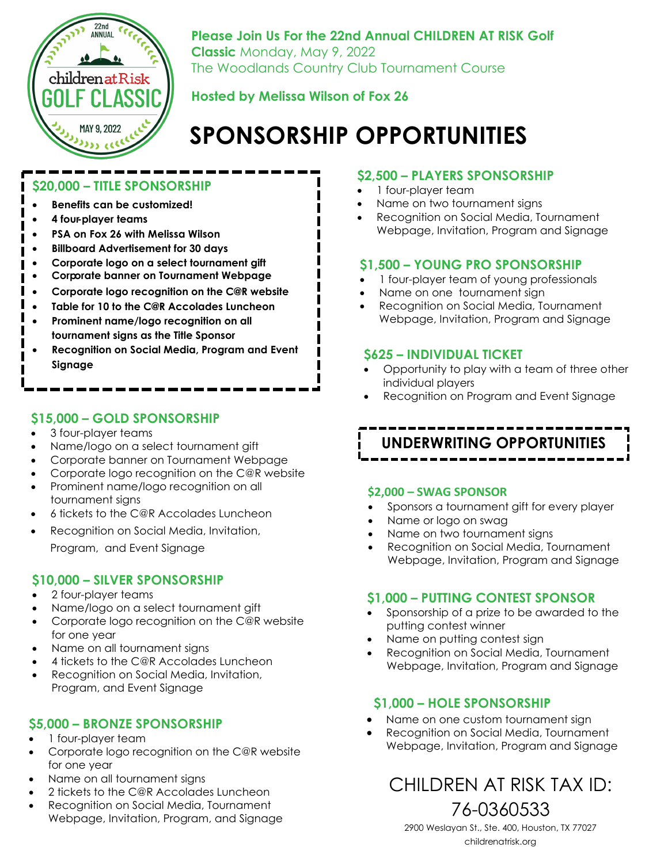

**Please Join Us For the 22nd Annual CHILDREN AT RISK Golf Classic** Monday, May 9, 2022 The Woodlands Country Club Tournament Course

### **Hosted by Melissa Wilson of Fox 26**

# **SPONSORSHIP OPPORTUNITIES**

### **\$20,000 – TITLE SPONSORSHIP**

- **Benefits can be customized!**
- **4 four-player teams**
- **PSA on Fox 26 with Melissa Wilson**
- **Billboard Advertisement for 30 days**
- **Corporate logo on a select tournament gift**
- **Corporate banner on Tournament Webpage**
- **Corporate logo recognition on the C@R website**
- **Table for 10 to the C@R Accolades Luncheon**
- **Prominent name/logo recognition on all tournament signs as the Title Sponsor**
- **Recognition on Social Media, Program and Event Signage**

### **\$15,000 – GOLD SPONSORSHIP**

- 3 four-player teams
- Name/logo on a select tournament gift
- Corporate banner on Tournament Webpage
- Corporate logo recognition on the C@R website
- Prominent name/logo recognition on all tournament signs
- 6 tickets to the C@R Accolades Luncheon
- Recognition on Social Media, Invitation,

Program, and Event Signage

### **\$10,000 – SILVER SPONSORSHIP**

- 2 four-player teams
- Name/logo on a select tournament gift
- Corporate logo recognition on the C@R website for one year
- Name on all tournament signs
- 4 tickets to the C@R Accolades Luncheon • Recognition on Social Media, Invitation,
- Program, and Event Signage

### **\$5,000 – BRONZE SPONSORSHIP**

- 1 four-player team
- Corporate logo recognition on the C@R website for one year
- Name on all tournament signs
- 2 tickets to the C@R Accolades Luncheon
- Recognition on Social Media, Tournament Webpage, Invitation, Program, and Signage

### **\$2,500 – PLAYERS SPONSORSHIP**

- 1 four-player team
- Name on two tournament signs
- Recognition on Social Media, Tournament Webpage, Invitation, Program and Signage

### **\$1,500 – YOUNG PRO SPONSORSHIP**

- 1 four-player team of young professionals
- Name on one tournament sign
- Recognition on Social Media, Tournament Webpage, Invitation, Program and Signage

### **\$625 – INDIVIDUAL TICKET**

- Opportunity to play with a team of three other individual players
- Recognition on Program and Event Signage

# **UNDERWRITING OPPORTUNITIES**

### **\$2,000 – SWAG SPONSOR**

- Sponsors a tournament gift for every player
- Name or logo on swag
- Name on two tournament signs
- Recognition on Social Media, Tournament Webpage, Invitation, Program and Signage

### **\$1,000 – PUTTING CONTEST SPONSOR**

- Sponsorship of a prize to be awarded to the putting contest winner
- Name on putting contest sign
- Recognition on Social Media, Tournament Webpage, Invitation, Program and Signage

### **\$1,000 – HOLE SPONSORSHIP**

- Name on one custom tournament sign
- Recognition on Social Media, Tournament Webpage, Invitation, Program and Signage

# CHILDREN AT RISK TAX ID: 76-0360533

2900 Weslayan St., Ste. 400, Houston, TX 77027 [childrenatrisk.org](http://www.childrenatrisk.org)